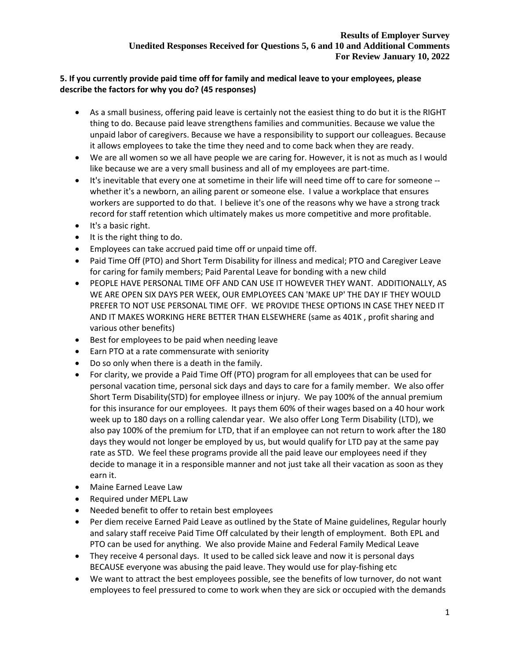# **5. If you currently provide paid time off for family and medical leave to your employees, please describe the factors for why you do? (45 responses)**

- As a small business, offering paid leave is certainly not the easiest thing to do but it is the RIGHT thing to do. Because paid leave strengthens families and communities. Because we value the unpaid labor of caregivers. Because we have a responsibility to support our colleagues. Because it allows employees to take the time they need and to come back when they are ready.
- We are all women so we all have people we are caring for. However, it is not as much as I would like because we are a very small business and all of my employees are part-time.
- It's inevitable that every one at sometime in their life will need time off to care for someone whether it's a newborn, an ailing parent or someone else. I value a workplace that ensures workers are supported to do that. I believe it's one of the reasons why we have a strong track record for staff retention which ultimately makes us more competitive and more profitable.
- It's a basic right.
- It is the right thing to do.
- Employees can take accrued paid time off or unpaid time off.
- Paid Time Off (PTO) and Short Term Disability for illness and medical; PTO and Caregiver Leave for caring for family members; Paid Parental Leave for bonding with a new child
- PEOPLE HAVE PERSONAL TIME OFF AND CAN USE IT HOWEVER THEY WANT. ADDITIONALLY, AS WE ARE OPEN SIX DAYS PER WEEK, OUR EMPLOYEES CAN 'MAKE UP' THE DAY IF THEY WOULD PREFER TO NOT USE PERSONAL TIME OFF. WE PROVIDE THESE OPTIONS IN CASE THEY NEED IT AND IT MAKES WORKING HERE BETTER THAN ELSEWHERE (same as 401K , profit sharing and various other benefits)
- Best for employees to be paid when needing leave
- Earn PTO at a rate commensurate with seniority
- Do so only when there is a death in the family.
- For clarity, we provide a Paid Time Off (PTO) program for all employees that can be used for personal vacation time, personal sick days and days to care for a family member. We also offer Short Term Disability(STD) for employee illness or injury. We pay 100% of the annual premium for this insurance for our employees. It pays them 60% of their wages based on a 40 hour work week up to 180 days on a rolling calendar year. We also offer Long Term Disability (LTD), we also pay 100% of the premium for LTD, that if an employee can not return to work after the 180 days they would not longer be employed by us, but would qualify for LTD pay at the same pay rate as STD. We feel these programs provide all the paid leave our employees need if they decide to manage it in a responsible manner and not just take all their vacation as soon as they earn it.
- Maine Earned Leave Law
- Required under MEPL Law
- Needed benefit to offer to retain best employees
- Per diem receive Earned Paid Leave as outlined by the State of Maine guidelines, Regular hourly and salary staff receive Paid Time Off calculated by their length of employment. Both EPL and PTO can be used for anything. We also provide Maine and Federal Family Medical Leave
- They receive 4 personal days. It used to be called sick leave and now it is personal days BECAUSE everyone was abusing the paid leave. They would use for play-fishing etc
- We want to attract the best employees possible, see the benefits of low turnover, do not want employees to feel pressured to come to work when they are sick or occupied with the demands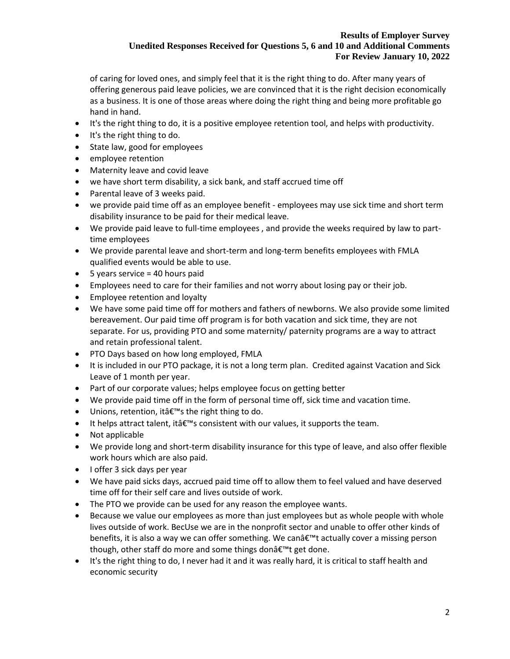of caring for loved ones, and simply feel that it is the right thing to do. After many years of offering generous paid leave policies, we are convinced that it is the right decision economically as a business. It is one of those areas where doing the right thing and being more profitable go hand in hand.

- It's the right thing to do, it is a positive employee retention tool, and helps with productivity.
- It's the right thing to do.
- State law, good for employees
- employee retention
- Maternity leave and covid leave
- we have short term disability, a sick bank, and staff accrued time off
- Parental leave of 3 weeks paid.
- we provide paid time off as an employee benefit employees may use sick time and short term disability insurance to be paid for their medical leave.
- We provide paid leave to full-time employees , and provide the weeks required by law to parttime employees
- We provide parental leave and short-term and long-term benefits employees with FMLA qualified events would be able to use.
- $\bullet$  5 years service = 40 hours paid
- Employees need to care for their families and not worry about losing pay or their job.
- Employee retention and loyalty
- We have some paid time off for mothers and fathers of newborns. We also provide some limited bereavement. Our paid time off program is for both vacation and sick time, they are not separate. For us, providing PTO and some maternity/ paternity programs are a way to attract and retain professional talent.
- PTO Days based on how long employed, FMLA
- It is included in our PTO package, it is not a long term plan. Credited against Vacation and Sick Leave of 1 month per year.
- Part of our corporate values; helps employee focus on getting better
- We provide paid time off in the form of personal time off, sick time and vacation time.
- Unions, retention, it  $\hat{\epsilon}$ <sup>TM</sup>s the right thing to do.
- It helps attract talent, it  $\hat{\theta} \in \mathbb{N}$  consistent with our values, it supports the team.
- Not applicable
- We provide long and short-term disability insurance for this type of leave, and also offer flexible work hours which are also paid.
- I offer 3 sick days per year
- We have paid sicks days, accrued paid time off to allow them to feel valued and have deserved time off for their self care and lives outside of work.
- The PTO we provide can be used for any reason the employee wants.
- Because we value our employees as more than just employees but as whole people with whole lives outside of work. BecUse we are in the nonprofit sector and unable to offer other kinds of benefits, it is also a way we can offer something. We can't actually cover a missing person though, other staff do more and some things donâ€<sup>™t</sup> get done.
- It's the right thing to do, I never had it and it was really hard, it is critical to staff health and economic security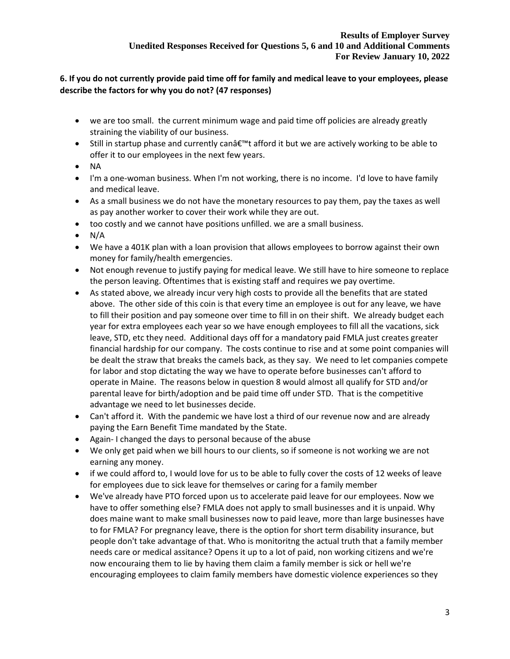# **6. If you do not currently provide paid time off for family and medical leave to your employees, please describe the factors for why you do not? (47 responses)**

- we are too small. the current minimum wage and paid time off policies are already greatly straining the viability of our business.
- Still in startup phase and currently canâ€<sup>™</sup>t afford it but we are actively working to be able to offer it to our employees in the next few years.
- NA
- I'm a one-woman business. When I'm not working, there is no income. I'd love to have family and medical leave.
- As a small business we do not have the monetary resources to pay them, pay the taxes as well as pay another worker to cover their work while they are out.
- too costly and we cannot have positions unfilled. we are a small business.
- $\bullet$  N/A
- We have a 401K plan with a loan provision that allows employees to borrow against their own money for family/health emergencies.
- Not enough revenue to justify paying for medical leave. We still have to hire someone to replace the person leaving. Oftentimes that is existing staff and requires we pay overtime.
- As stated above, we already incur very high costs to provide all the benefits that are stated above. The other side of this coin is that every time an employee is out for any leave, we have to fill their position and pay someone over time to fill in on their shift. We already budget each year for extra employees each year so we have enough employees to fill all the vacations, sick leave, STD, etc they need. Additional days off for a mandatory paid FMLA just creates greater financial hardship for our company. The costs continue to rise and at some point companies will be dealt the straw that breaks the camels back, as they say. We need to let companies compete for labor and stop dictating the way we have to operate before businesses can't afford to operate in Maine. The reasons below in question 8 would almost all qualify for STD and/or parental leave for birth/adoption and be paid time off under STD. That is the competitive advantage we need to let businesses decide.
- Can't afford it. With the pandemic we have lost a third of our revenue now and are already paying the Earn Benefit Time mandated by the State.
- Again- I changed the days to personal because of the abuse
- We only get paid when we bill hours to our clients, so if someone is not working we are not earning any money.
- if we could afford to, I would love for us to be able to fully cover the costs of 12 weeks of leave for employees due to sick leave for themselves or caring for a family member
- We've already have PTO forced upon us to accelerate paid leave for our employees. Now we have to offer something else? FMLA does not apply to small businesses and it is unpaid. Why does maine want to make small businesses now to paid leave, more than large businesses have to for FMLA? For pregnancy leave, there is the option for short term disability insurance, but people don't take advantage of that. Who is monitoritng the actual truth that a family member needs care or medical assitance? Opens it up to a lot of paid, non working citizens and we're now encouraing them to lie by having them claim a family member is sick or hell we're encouraging employees to claim family members have domestic violence experiences so they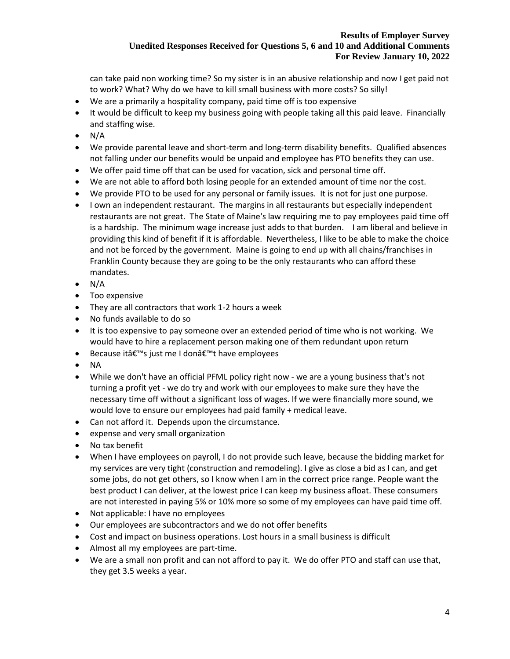can take paid non working time? So my sister is in an abusive relationship and now I get paid not to work? What? Why do we have to kill small business with more costs? So silly!

- We are a primarily a hospitality company, paid time off is too expensive
- It would be difficult to keep my business going with people taking all this paid leave. Financially and staffing wise.
- $\bullet$  N/A
- We provide parental leave and short-term and long-term disability benefits. Qualified absences not falling under our benefits would be unpaid and employee has PTO benefits they can use.
- We offer paid time off that can be used for vacation, sick and personal time off.
- We are not able to afford both losing people for an extended amount of time nor the cost.
- We provide PTO to be used for any personal or family issues. It is not for just one purpose.
- I own an independent restaurant. The margins in all restaurants but especially independent restaurants are not great. The State of Maine's law requiring me to pay employees paid time off is a hardship. The minimum wage increase just adds to that burden. I am liberal and believe in providing this kind of benefit if it is affordable. Nevertheless, I like to be able to make the choice and not be forced by the government. Maine is going to end up with all chains/franchises in Franklin County because they are going to be the only restaurants who can afford these mandates.
- $\bullet$  N/A
- Too expensive
- They are all contractors that work 1-2 hours a week
- No funds available to do so
- It is too expensive to pay someone over an extended period of time who is not working. We would have to hire a replacement person making one of them redundant upon return
- Because itâ€<sup>™</sup>s just me I donâ€<sup>™</sup>t have employees
- NA
- While we don't have an official PFML policy right now we are a young business that's not turning a profit yet - we do try and work with our employees to make sure they have the necessary time off without a significant loss of wages. If we were financially more sound, we would love to ensure our employees had paid family + medical leave.
- Can not afford it. Depends upon the circumstance.
- expense and very small organization
- No tax benefit
- When I have employees on payroll, I do not provide such leave, because the bidding market for my services are very tight (construction and remodeling). I give as close a bid as I can, and get some jobs, do not get others, so I know when I am in the correct price range. People want the best product I can deliver, at the lowest price I can keep my business afloat. These consumers are not interested in paying 5% or 10% more so some of my employees can have paid time off.
- Not applicable: I have no employees
- Our employees are subcontractors and we do not offer benefits
- Cost and impact on business operations. Lost hours in a small business is difficult
- Almost all my employees are part-time.
- We are a small non profit and can not afford to pay it. We do offer PTO and staff can use that, they get 3.5 weeks a year.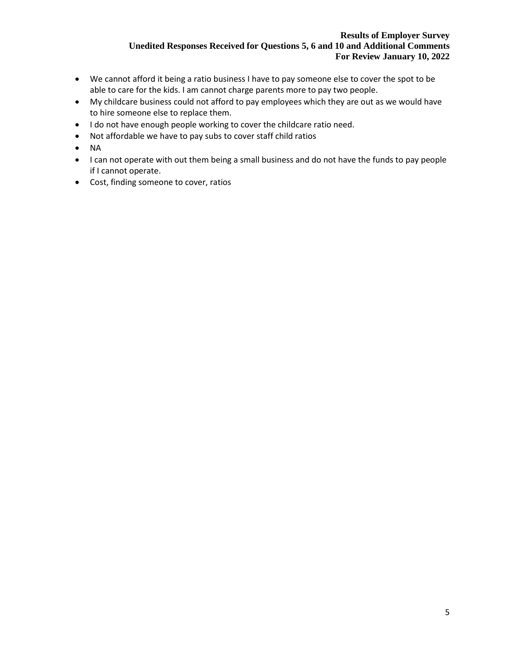- We cannot afford it being a ratio business I have to pay someone else to cover the spot to be able to care for the kids. I am cannot charge parents more to pay two people.
- My childcare business could not afford to pay employees which they are out as we would have to hire someone else to replace them.
- I do not have enough people working to cover the childcare ratio need.
- Not affordable we have to pay subs to cover staff child ratios
- NA
- I can not operate with out them being a small business and do not have the funds to pay people if I cannot operate.
- Cost, finding someone to cover, ratios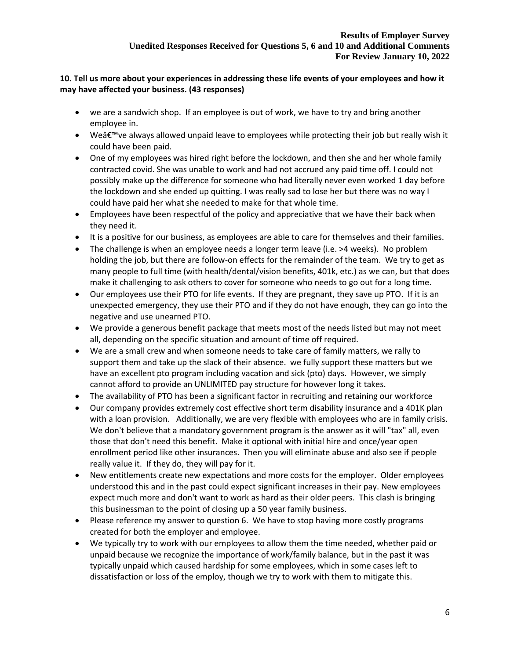# **10. Tell us more about your experiences in addressing these life events of your employees and how it may have affected your business. (43 responses)**

- we are a sandwich shop. If an employee is out of work, we have to try and bring another employee in.
- We $\hat{a} \in \mathbb{N}$  we always allowed unpaid leave to employees while protecting their job but really wish it could have been paid.
- One of my employees was hired right before the lockdown, and then she and her whole family contracted covid. She was unable to work and had not accrued any paid time off. I could not possibly make up the difference for someone who had literally never even worked 1 day before the lockdown and she ended up quitting. I was really sad to lose her but there was no way I could have paid her what she needed to make for that whole time.
- Employees have been respectful of the policy and appreciative that we have their back when they need it.
- It is a positive for our business, as employees are able to care for themselves and their families.
- The challenge is when an employee needs a longer term leave (i.e. >4 weeks). No problem holding the job, but there are follow-on effects for the remainder of the team. We try to get as many people to full time (with health/dental/vision benefits, 401k, etc.) as we can, but that does make it challenging to ask others to cover for someone who needs to go out for a long time.
- Our employees use their PTO for life events. If they are pregnant, they save up PTO. If it is an unexpected emergency, they use their PTO and if they do not have enough, they can go into the negative and use unearned PTO.
- We provide a generous benefit package that meets most of the needs listed but may not meet all, depending on the specific situation and amount of time off required.
- We are a small crew and when someone needs to take care of family matters, we rally to support them and take up the slack of their absence. we fully support these matters but we have an excellent pto program including vacation and sick (pto) days. However, we simply cannot afford to provide an UNLIMITED pay structure for however long it takes.
- The availability of PTO has been a significant factor in recruiting and retaining our workforce
- Our company provides extremely cost effective short term disability insurance and a 401K plan with a loan provision. Additionally, we are very flexible with employees who are in family crisis. We don't believe that a mandatory government program is the answer as it will "tax" all, even those that don't need this benefit. Make it optional with initial hire and once/year open enrollment period like other insurances. Then you will eliminate abuse and also see if people really value it. If they do, they will pay for it.
- New entitlements create new expectations and more costs for the employer. Older employees understood this and in the past could expect significant increases in their pay. New employees expect much more and don't want to work as hard as their older peers. This clash is bringing this businessman to the point of closing up a 50 year family business.
- Please reference my answer to question 6. We have to stop having more costly programs created for both the employer and employee.
- We typically try to work with our employees to allow them the time needed, whether paid or unpaid because we recognize the importance of work/family balance, but in the past it was typically unpaid which caused hardship for some employees, which in some cases left to dissatisfaction or loss of the employ, though we try to work with them to mitigate this.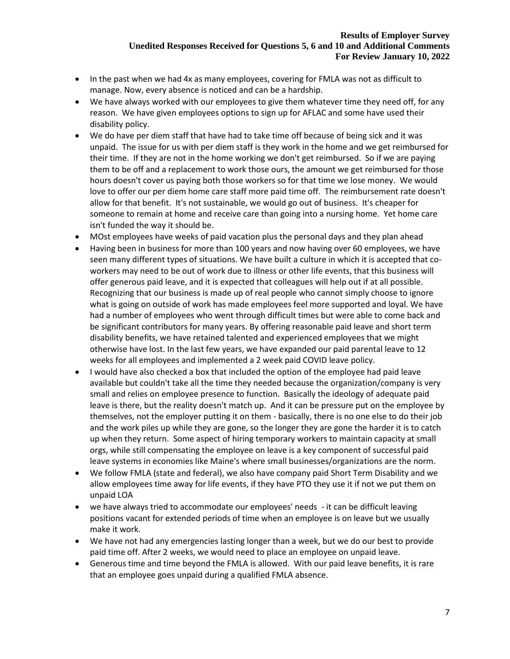- In the past when we had 4x as many employees, covering for FMLA was not as difficult to manage. Now, every absence is noticed and can be a hardship.
- We have always worked with our employees to give them whatever time they need off, for any reason. We have given employees options to sign up for AFLAC and some have used their disability policy.
- We do have per diem staff that have had to take time off because of being sick and it was unpaid. The issue for us with per diem staff is they work in the home and we get reimbursed for their time. If they are not in the home working we don't get reimbursed. So if we are paying them to be off and a replacement to work those ours, the amount we get reimbursed for those hours doesn't cover us paying both those workers so for that time we lose money. We would love to offer our per diem home care staff more paid time off. The reimbursement rate doesn't allow for that benefit. It's not sustainable, we would go out of business. It's cheaper for someone to remain at home and receive care than going into a nursing home. Yet home care isn't funded the way it should be.
- MOst employees have weeks of paid vacation plus the personal days and they plan ahead
- Having been in business for more than 100 years and now having over 60 employees, we have seen many different types of situations. We have built a culture in which it is accepted that coworkers may need to be out of work due to illness or other life events, that this business will offer generous paid leave, and it is expected that colleagues will help out if at all possible. Recognizing that our business is made up of real people who cannot simply choose to ignore what is going on outside of work has made employees feel more supported and loyal. We have had a number of employees who went through difficult times but were able to come back and be significant contributors for many years. By offering reasonable paid leave and short term disability benefits, we have retained talented and experienced employees that we might otherwise have lost. In the last few years, we have expanded our paid parental leave to 12 weeks for all employees and implemented a 2 week paid COVID leave policy.
- I would have also checked a box that included the option of the employee had paid leave available but couldn't take all the time they needed because the organization/company is very small and relies on employee presence to function. Basically the ideology of adequate paid leave is there, but the reality doesn't match up. And it can be pressure put on the employee by themselves, not the employer putting it on them - basically, there is no one else to do their job and the work piles up while they are gone, so the longer they are gone the harder it is to catch up when they return. Some aspect of hiring temporary workers to maintain capacity at small orgs, while still compensating the employee on leave is a key component of successful paid leave systems in economies like Maine's where small businesses/organizations are the norm.
- We follow FMLA (state and federal), we also have company paid Short Term Disability and we allow employees time away for life events, if they have PTO they use it if not we put them on unpaid LOA
- we have always tried to accommodate our employees' needs it can be difficult leaving positions vacant for extended periods of time when an employee is on leave but we usually make it work.
- We have not had any emergencies lasting longer than a week, but we do our best to provide paid time off. After 2 weeks, we would need to place an employee on unpaid leave.
- Generous time and time beyond the FMLA is allowed. With our paid leave benefits, it is rare that an employee goes unpaid during a qualified FMLA absence.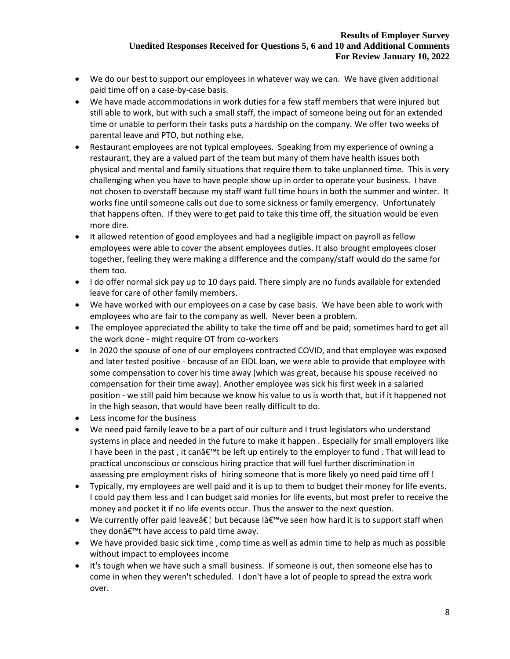- We do our best to support our employees in whatever way we can. We have given additional paid time off on a case-by-case basis.
- We have made accommodations in work duties for a few staff members that were injured but still able to work, but with such a small staff, the impact of someone being out for an extended time or unable to perform their tasks puts a hardship on the company. We offer two weeks of parental leave and PTO, but nothing else.
- Restaurant employees are not typical employees. Speaking from my experience of owning a restaurant, they are a valued part of the team but many of them have health issues both physical and mental and family situations that require them to take unplanned time. This is very challenging when you have to have people show up in order to operate your business. I have not chosen to overstaff because my staff want full time hours in both the summer and winter. It works fine until someone calls out due to some sickness or family emergency. Unfortunately that happens often. If they were to get paid to take this time off, the situation would be even more dire.
- It allowed retention of good employees and had a negligible impact on payroll as fellow employees were able to cover the absent employees duties. It also brought employees closer together, feeling they were making a difference and the company/staff would do the same for them too.
- I do offer normal sick pay up to 10 days paid. There simply are no funds available for extended leave for care of other family members.
- We have worked with our employees on a case by case basis. We have been able to work with employees who are fair to the company as well. Never been a problem.
- The employee appreciated the ability to take the time off and be paid; sometimes hard to get all the work done - might require OT from co-workers
- In 2020 the spouse of one of our employees contracted COVID, and that employee was exposed and later tested positive - because of an EIDL loan, we were able to provide that employee with some compensation to cover his time away (which was great, because his spouse received no compensation for their time away). Another employee was sick his first week in a salaried position - we still paid him because we know his value to us is worth that, but if it happened not in the high season, that would have been really difficult to do.
- Less income for the business
- We need paid family leave to be a part of our culture and I trust legislators who understand systems in place and needed in the future to make it happen . Especially for small employers like I have been in the past, it can $\hat{\sigma}^{\text{m}}$ t be left up entirely to the employer to fund . That will lead to practical unconscious or conscious hiring practice that will fuel further discrimination in assessing pre employment risks of hiring someone that is more likely yo need paid time off !
- Typically, my employees are well paid and it is up to them to budget their money for life events. I could pay them less and I can budget said monies for life events, but most prefer to receive the money and pocket it if no life events occur. Thus the answer to the next question.
- We currently offer paid leave  $\hat{\epsilon}^{\dagger}$  but because I at  $\epsilon^{\dagger}$  we seen how hard it is to support staff when they donâ€<sup>™</sup>t have access to paid time away.
- We have provided basic sick time , comp time as well as admin time to help as much as possible without impact to employees income
- It's tough when we have such a small business. If someone is out, then someone else has to come in when they weren't scheduled. I don't have a lot of people to spread the extra work over.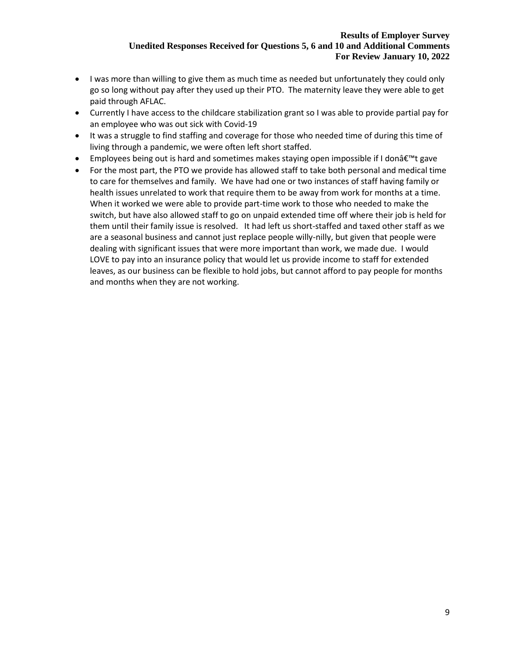- I was more than willing to give them as much time as needed but unfortunately they could only go so long without pay after they used up their PTO. The maternity leave they were able to get paid through AFLAC.
- Currently I have access to the childcare stabilization grant so I was able to provide partial pay for an employee who was out sick with Covid-19
- It was a struggle to find staffing and coverage for those who needed time of during this time of living through a pandemic, we were often left short staffed.
- Employees being out is hard and sometimes makes staying open impossible if I donâ $\epsilon_{\text{int}}$  gave
- For the most part, the PTO we provide has allowed staff to take both personal and medical time to care for themselves and family. We have had one or two instances of staff having family or health issues unrelated to work that require them to be away from work for months at a time. When it worked we were able to provide part-time work to those who needed to make the switch, but have also allowed staff to go on unpaid extended time off where their job is held for them until their family issue is resolved. It had left us short-staffed and taxed other staff as we are a seasonal business and cannot just replace people willy-nilly, but given that people were dealing with significant issues that were more important than work, we made due. I would LOVE to pay into an insurance policy that would let us provide income to staff for extended leaves, as our business can be flexible to hold jobs, but cannot afford to pay people for months and months when they are not working.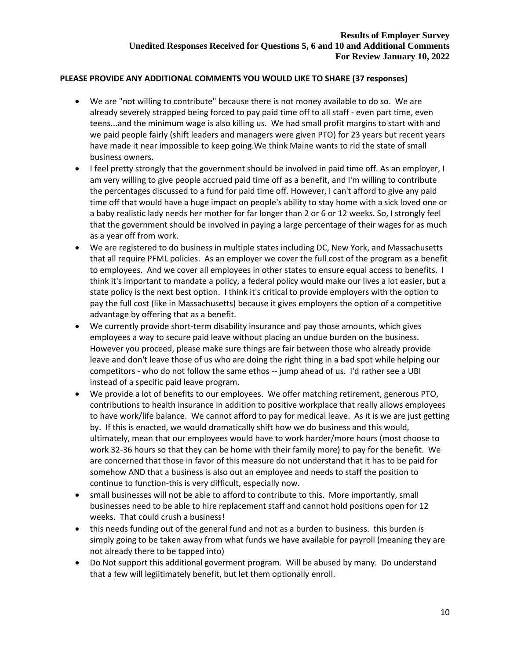## **PLEASE PROVIDE ANY ADDITIONAL COMMENTS YOU WOULD LIKE TO SHARE (37 responses)**

- We are "not willing to contribute" because there is not money available to do so. We are already severely strapped being forced to pay paid time off to all staff - even part time, even teens...and the minimum wage is also killing us. We had small profit margins to start with and we paid people fairly (shift leaders and managers were given PTO) for 23 years but recent years have made it near impossible to keep going.We think Maine wants to rid the state of small business owners.
- I feel pretty strongly that the government should be involved in paid time off. As an employer, I am very willing to give people accrued paid time off as a benefit, and I'm willing to contribute the percentages discussed to a fund for paid time off. However, I can't afford to give any paid time off that would have a huge impact on people's ability to stay home with a sick loved one or a baby realistic lady needs her mother for far longer than 2 or 6 or 12 weeks. So, I strongly feel that the government should be involved in paying a large percentage of their wages for as much as a year off from work.
- We are registered to do business in multiple states including DC, New York, and Massachusetts that all require PFML policies. As an employer we cover the full cost of the program as a benefit to employees. And we cover all employees in other states to ensure equal access to benefits. I think it's important to mandate a policy, a federal policy would make our lives a lot easier, but a state policy is the next best option. I think it's critical to provide employers with the option to pay the full cost (like in Massachusetts) because it gives employers the option of a competitive advantage by offering that as a benefit.
- We currently provide short-term disability insurance and pay those amounts, which gives employees a way to secure paid leave without placing an undue burden on the business. However you proceed, please make sure things are fair between those who already provide leave and don't leave those of us who are doing the right thing in a bad spot while helping our competitors - who do not follow the same ethos -- jump ahead of us. I'd rather see a UBI instead of a specific paid leave program.
- We provide a lot of benefits to our employees. We offer matching retirement, generous PTO, contributions to health insurance in addition to positive workplace that really allows employees to have work/life balance. We cannot afford to pay for medical leave. As it is we are just getting by. If this is enacted, we would dramatically shift how we do business and this would, ultimately, mean that our employees would have to work harder/more hours (most choose to work 32-36 hours so that they can be home with their family more) to pay for the benefit. We are concerned that those in favor of this measure do not understand that it has to be paid for somehow AND that a business is also out an employee and needs to staff the position to continue to function-this is very difficult, especially now.
- small businesses will not be able to afford to contribute to this. More importantly, small businesses need to be able to hire replacement staff and cannot hold positions open for 12 weeks. That could crush a business!
- this needs funding out of the general fund and not as a burden to business. this burden is simply going to be taken away from what funds we have available for payroll (meaning they are not already there to be tapped into)
- Do Not support this additional goverment program. Will be abused by many. Do understand that a few will legiitimately benefit, but let them optionally enroll.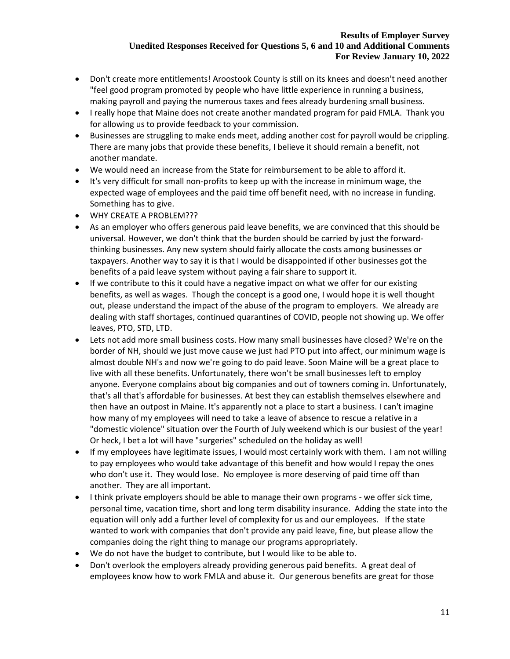- Don't create more entitlements! Aroostook County is still on its knees and doesn't need another "feel good program promoted by people who have little experience in running a business, making payroll and paying the numerous taxes and fees already burdening small business.
- I really hope that Maine does not create another mandated program for paid FMLA. Thank you for allowing us to provide feedback to your commission.
- Businesses are struggling to make ends meet, adding another cost for payroll would be crippling. There are many jobs that provide these benefits, I believe it should remain a benefit, not another mandate.
- We would need an increase from the State for reimbursement to be able to afford it.
- It's very difficult for small non-profits to keep up with the increase in minimum wage, the expected wage of employees and the paid time off benefit need, with no increase in funding. Something has to give.
- WHY CREATE A PROBLEM???
- As an employer who offers generous paid leave benefits, we are convinced that this should be universal. However, we don't think that the burden should be carried by just the forwardthinking businesses. Any new system should fairly allocate the costs among businesses or taxpayers. Another way to say it is that I would be disappointed if other businesses got the benefits of a paid leave system without paying a fair share to support it.
- If we contribute to this it could have a negative impact on what we offer for our existing benefits, as well as wages. Though the concept is a good one, I would hope it is well thought out, please understand the impact of the abuse of the program to employers. We already are dealing with staff shortages, continued quarantines of COVID, people not showing up. We offer leaves, PTO, STD, LTD.
- Lets not add more small business costs. How many small businesses have closed? We're on the border of NH, should we just move cause we just had PTO put into affect, our minimum wage is almost double NH's and now we're going to do paid leave. Soon Maine will be a great place to live with all these benefits. Unfortunately, there won't be small businesses left to employ anyone. Everyone complains about big companies and out of towners coming in. Unfortunately, that's all that's affordable for businesses. At best they can establish themselves elsewhere and then have an outpost in Maine. It's apparently not a place to start a business. I can't imagine how many of my employees will need to take a leave of absence to rescue a relative in a "domestic violence" situation over the Fourth of July weekend which is our busiest of the year! Or heck, I bet a lot will have "surgeries" scheduled on the holiday as well!
- If my employees have legitimate issues, I would most certainly work with them. I am not willing to pay employees who would take advantage of this benefit and how would I repay the ones who don't use it. They would lose. No employee is more deserving of paid time off than another. They are all important.
- I think private employers should be able to manage their own programs we offer sick time, personal time, vacation time, short and long term disability insurance. Adding the state into the equation will only add a further level of complexity for us and our employees. If the state wanted to work with companies that don't provide any paid leave, fine, but please allow the companies doing the right thing to manage our programs appropriately.
- We do not have the budget to contribute, but I would like to be able to.
- Don't overlook the employers already providing generous paid benefits. A great deal of employees know how to work FMLA and abuse it. Our generous benefits are great for those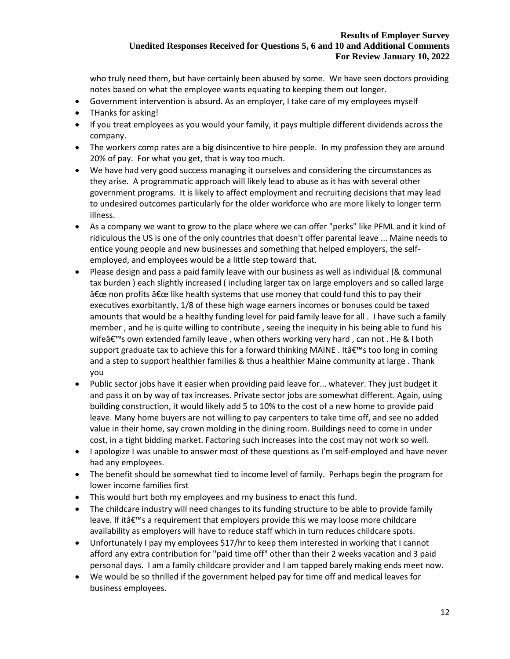who truly need them, but have certainly been abused by some. We have seen doctors providing notes based on what the employee wants equating to keeping them out longer.

- Government intervention is absurd. As an employer, I take care of my employees myself
- THanks for asking!
- If you treat employees as you would your family, it pays multiple different dividends across the company.
- The workers comp rates are a big disincentive to hire people. In my profession they are around 20% of pay. For what you get, that is way too much.
- We have had very good success managing it ourselves and considering the circumstances as they arise. A programmatic approach will likely lead to abuse as it has with several other government programs. It is likely to affect employment and recruiting decisions that may lead to undesired outcomes particularly for the older workforce who are more likely to longer term illness.
- As a company we want to grow to the place where we can offer "perks" like PFML and it kind of ridiculous the US is one of the only countries that doesn't offer parental leave ... Maine needs to entice young people and new businesses and something that helped employers, the selfemployed, and employees would be a little step toward that.
- Please design and pass a paid family leave with our business as well as individual (& communal tax burden ) each slightly increased ( including larger tax on large employers and so called large  $\hat{\mathbf{a}} \in \mathbb{C}$  are non profits  $\hat{\mathbf{a}} \in \mathbb{C}$  like health systems that use money that could fund this to pay their executives exorbitantly. 1/8 of these high wage earners incomes or bonuses could be taxed amounts that would be a healthy funding level for paid family leave for all . I have such a family member , and he is quite willing to contribute , seeing the inequity in his being able to fund his wife $\hat{\mathsf{a}} \in \mathbb{N}$ s own extended family leave, when others working very hard, can not . He & I both support graduate tax to achieve this for a forward thinking MAINE . Itâ€<sup>™</sup>s too long in coming and a step to support healthier families & thus a healthier Maine community at large . Thank you
- Public sector jobs have it easier when providing paid leave for... whatever. They just budget it and pass it on by way of tax increases. Private sector jobs are somewhat different. Again, using building construction, it would likely add 5 to 10% to the cost of a new home to provide paid leave. Many home buyers are not willing to pay carpenters to take time off, and see no added value in their home, say crown molding in the dining room. Buildings need to come in under cost, in a tight bidding market. Factoring such increases into the cost may not work so well.
- I apologize I was unable to answer most of these questions as I'm self-employed and have never had any employees.
- The benefit should be somewhat tied to income level of family. Perhaps begin the program for lower income families first
- This would hurt both my employees and my business to enact this fund.
- The childcare industry will need changes to its funding structure to be able to provide family leave. If it $a \in \mathbb{N}$  a requirement that employers provide this we may loose more childcare availability as employers will have to reduce staff which in turn reduces childcare spots.
- Unfortunately I pay my employees \$17/hr to keep them interested in working that I cannot afford any extra contribution for "paid time off" other than their 2 weeks vacation and 3 paid personal days. I am a family childcare provider and I am tapped barely making ends meet now.
- We would be so thrilled if the government helped pay for time off and medical leaves for business employees.